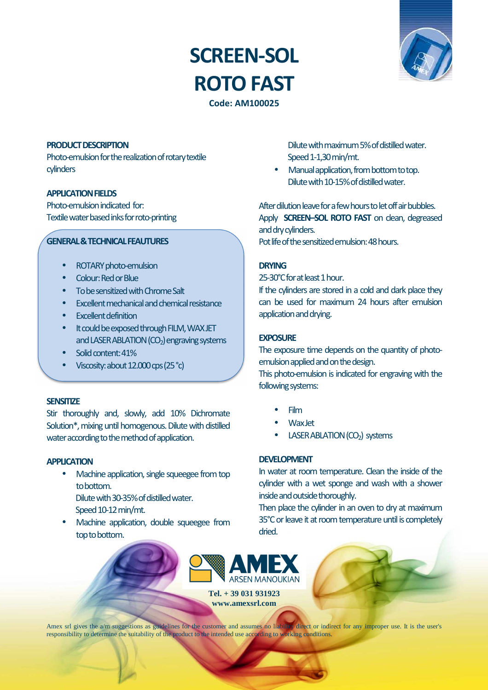# **SCREEN-SOL ROTO FAST**



**Code: AM100025**

#### **PRODUCT DESCRIPTION**

Photo-emulsion for the realization of rotary textile cylinders

## **APPLICATION FIELDS**

Photo-emulsion indicated for: Textile water based inks for roto-printing

#### **GENERAL & TECHNICAL FEAUTURES**

- ROTARY photo-emulsion
- Colour: Red or Blue
- To be sensitized with Chrome Salt
- Excellent mechanical and chemical resistance
- Excellent definition
- It could be exposed through FILM, WAX JET and LASER ABLATION  $(CO<sub>2</sub>)$  engraving systems
- Solid content: 41%
- Viscosity: about 12.000 cps (25 °c)

# **SENSITIZE**

Stir thoroughly and, slowly, add 10% Dichromate Solution\*, mixing until homogenous. Dilute with distilled water according to the method of application.

# **APPLICATION**

- Machine application, single squeegee from top to bottom. Dilute with 30-35% of distilled water.
	- Speed 10-12 min/mt.
- Machine application, double squeegee from top to bottom.

Dilute with maximum 5% of distilled water. Speed 1-1,30 min/mt.

• Manual application, from bottom to top. Dilute with 10-15% of distilled water.

After dilution leave for a few hours to let off air bubbles. Apply **SCREEN–SOL ROTO FAST** on clean, degreased and dry cylinders. Pot life of the sensitized emulsion: 48 hours.

# **DRYING**

25-30°C for at least 1 hour.

If the cylinders are stored in a cold and dark place they can be used for maximum 24 hours after emulsion application and drying.

#### **EXPOSURE**

The exposure time depends on the quantity of photoemulsion applied and on the design.

This photo-emulsion is indicated for engraving with the following systems:

- Film
- Wax Jet
- **LASER ABLATION (CO<sub>2</sub>)** systems

# **DEVELOPMENT**

In water at room temperature. Clean the inside of the cylinder with a wet sponge and wash with a shower inside and outside thoroughly.

Then place the cylinder in an oven to dry at maximum 35°C or leave it at room temperature until is completely dried.



**Tel. + 39 031 931923 www.amexsrl.com** 

Amex srl gives the a/m suggestions as guidelines for the customer and assumes no liability direct or indirect for any improper use. It is the user's responsibility to determine the suitability of the product to the intended use according to working conditions.